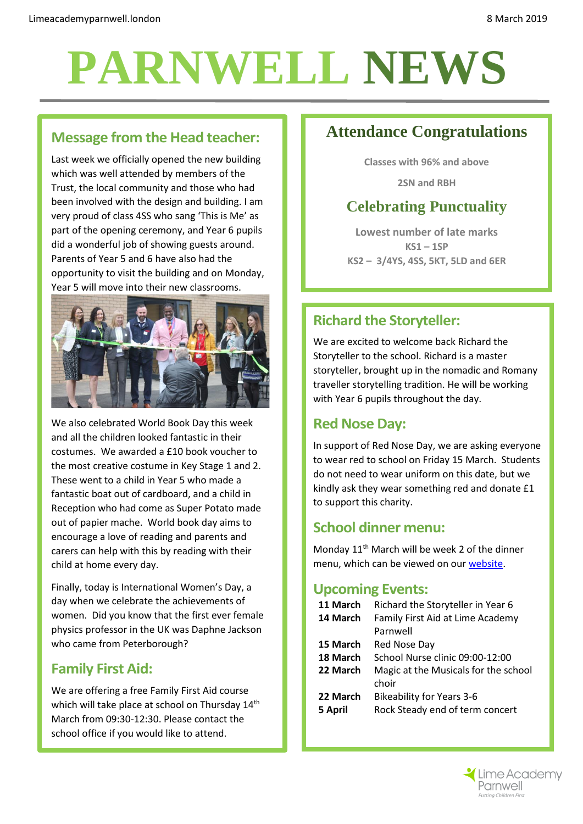# **PARNWELL NEWS**

#### **Message from the Head teacher:**

Last week we officially opened the new building which was well attended by members of the Trust, the local community and those who had been involved with the design and building. I am very proud of class 4SS who sang 'This is Me' as part of the opening ceremony, and Year 6 pupils did a wonderful job of showing guests around. Parents of Year 5 and 6 have also had the opportunity to visit the building and on Monday, Year 5 will move into their new classrooms.



We also celebrated World Book Day this week and all the children looked fantastic in their costumes. We awarded a £10 book voucher to the most creative costume in Key Stage 1 and 2. These went to a child in Year 5 who made a fantastic boat out of cardboard, and a child in Reception who had come as Super Potato made out of papier mache. World book day aims to encourage a love of reading and parents and carers can help with this by reading with their child at home every day.

Finally, today is International Women's Day, a day when we celebrate the achievements of women. Did you know that the first ever female physics professor in the UK was Daphne Jackson who came from Peterborough?

#### **Family First Aid:**

We are offering a free Family First Aid course which will take place at school on Thursday 14<sup>th</sup> March from 09:30-12:30. Please contact the school office if you would like to attend.

# **Attendance Congratulations**

**Classes with 96% and above**

**2SN and RBH**

# **Celebrating Punctuality**

**Lowest number of late marks KS1 – 1SP KS2 – 3/4YS, 4SS, 5KT, 5LD and 6ER**

## **Richard the Storyteller:**

We are excited to welcome back Richard the Storyteller to the school. Richard is a master storyteller, brought up in the nomadic and Romany traveller storytelling tradition. He will be working with Year 6 pupils throughout the day.

#### **Red Nose Day:**

In support of Red Nose Day, we are asking everyone to wear red to school on Friday 15 March. Students do not need to wear uniform on this date, but we kindly ask they wear something red and donate £1 to support this charity.

#### **School dinner menu:**

Monday 11th March will be week 2 of the dinner menu, which can be viewed on ou[r website.](http://limeacademyparnwell.london/media/1997/dinner-menu-2.pdf)

#### **Upcoming Events:**

| Richard the Storyteller in Year 6             |
|-----------------------------------------------|
| Family First Aid at Lime Academy              |
| Parnwell                                      |
| Red Nose Day                                  |
| School Nurse clinic 09:00-12:00               |
| Magic at the Musicals for the school<br>choir |
| <b>Bikeability for Years 3-6</b>              |
| Rock Steady end of term concert               |
|                                               |